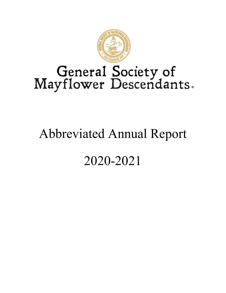

# General Society of<br>Mayflower Descendants.

# Abbreviated Annual Report

# 2020-2021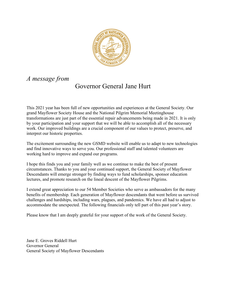

### *A message from*

# Governor General Jane Hurt

This 2021 year has been full of new opportunities and experiences at the General Society. Our grand Mayflower Society House and the National Pilgrim Memorial Meetinghouse transformations are just part of the essential repair advancements being made in 2021. It is only by your participation and your support that we will be able to accomplish all of the necessary work. Our improved buildings are a crucial component of our values to protect, preserve, and interpret our historic properties.

The excitement surrounding the new GSMD website will enable us to adapt to new technologies and find innovative ways to serve you. Our professional staff and talented volunteers are working hard to improve and expand our programs.

I hope this finds you and your family well as we continue to make the best of present circumstances. Thanks to you and your continued support, the General Society of Mayflower Descendants will emerge stronger by finding ways to fund scholarships, sponsor education lectures, and promote research on the lineal descent of the Mayflower Pilgrims.

I extend great appreciation to our 54 Member Societies who serve as ambassadors for the many benefits of membership. Each generation of Mayflower descendants that went before us survived challenges and hardships, including wars, plagues, and pandemics. We have all had to adjust to accommodate the unexpected. The following financials only tell part of this past year's story.

Please know that I am deeply grateful for your support of the work of the General Society.

Jane E. Groves Riddell Hurt Governor General General Society of Mayflower Descendants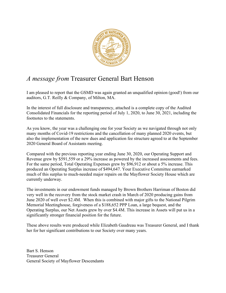

# *A message from* Treasurer General Bart Henson

I am pleased to report that the GSMD was again granted an unqualified opinion (good!) from our auditors, G.T. Reilly & Company, of Milton, MA.

In the interest of full disclosure and transparency, attached is a complete copy of the Audited Consolidated Financials for the reporting period of July 1, 2020, to June 30, 2021, including the footnotes to the statements.

As you know, the year was a challenging one for your Society as we navigated through not only many months of Covid-19 restrictions and the cancellation of many planned 2020 events, but also the implementation of the new dues and application fee structure agreed to at the September 2020 General Board of Assistants meeting.

Compared with the previous reporting year ending June 30, 2020, our Operating Support and Revenue grew by \$591,559 or a 29% increase as powered by the increased assessments and fees. For the same period, Total Operating Expenses grew by \$96,912 or about a 5% increase. This produced an Operating Surplus increase of \$494,647. Your Executive Committee earmarked much of this surplus to much-needed major repairs on the Mayflower Society House which are currently underway.

The investments in our endowment funds managed by Brown Brothers Harriman of Boston did very well in the recovery from the stock market crash in March of 2020 producing gains from June 2020 of well over \$2.4M. When this is combined with major gifts to the National Pilgrim Memorial Meetinghouse, forgiveness of a \$188,652 PPP Loan, a large bequest, and the Operating Surplus, our Net Assets grew by over \$4.4M. This increase in Assets will put us in a significantly stronger financial position for the future.

These above results were produced while Elizabeth Gaudreau was Treasurer General, and I thank her for her significant contributions to our Society over many years.

Bart S. Henson Treasurer General General Society of Mayflower Descendants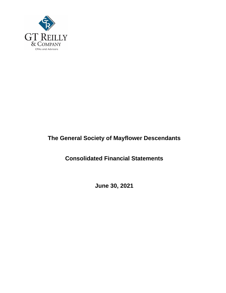

# **The General Society of Mayflower Descendants**

# **Consolidated Financial Statements**

**June 30, 2021**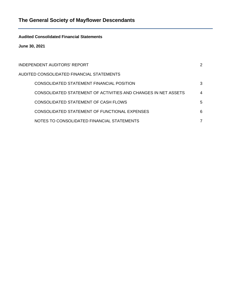**Audited Consolidated Financial Statements**

**June 30, 2021**

| INDEPENDENT AUDITORS' REPORT                                   | 2 |
|----------------------------------------------------------------|---|
| AUDITED CONSOLIDATED FINANCIAL STATEMENTS                      |   |
| CONSOLIDATED STATEMENT FINANCIAL POSITION                      | 3 |
| CONSOLIDATED STATEMENT OF ACTIVITIES AND CHANGES IN NET ASSETS | 4 |
| CONSOLIDATED STATEMENT OF CASH FLOWS                           | 5 |
| CONSOLIDATED STATEMENT OF FUNCTIONAL EXPENSES                  | 6 |
| NOTES TO CONSOLIDATED FINANCIAL STATEMENTS                     |   |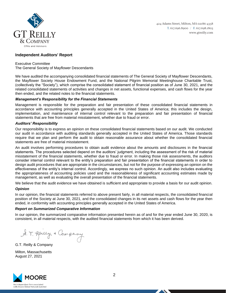

424 Adams Street, Milton, MA 02186-4358 T. 617.696.8900 / F. 617.698.1803 www.gtreilly.com

#### **Independent Auditors' Report**

Executive Committee The General Society of Mayflower Descendants

We have audited the accompanying consolidated financial statements of The General Society of Mayflower Descendants, the Mayflower Society House Endowment Fund, and the National Pilgrim Memorial Meetinghouse Charitable Trust, (collectively the "Society"), which comprise the consolidated statement of financial position as of June 30, 2021, and the related consolidated statements of activities and changes in net assets, functional expenses, and cash flows for the year then ended, and the related notes to the financial statements.

#### *Management's Responsibility for the Financial Statements*

Management is responsible for the preparation and fair presentation of these consolidated financial statements in accordance with accounting principles generally accepted in the United States of America; this includes the design, implementation, and maintenance of internal control relevant to the preparation and fair presentation of financial statements that are free from material misstatement, whether due to fraud or error.

#### *Auditors' Responsibility*

Our responsibility is to express an opinion on these consolidated financial statements based on our audit. We conducted our audit in accordance with auditing standards generally accepted in the United States of America. Those standards require that we plan and perform the audit to obtain reasonable assurance about whether the consolidated financial statements are free of material misstatement.

An audit involves performing procedures to obtain audit evidence about the amounts and disclosures in the financial statements. The procedures selected depend on the auditors' judgment, including the assessment of the risk of material misstatement of the financial statements, whether due to fraud or error. In making those risk assessments, the auditors consider internal control relevant to the entity's preparation and fair presentation of the financial statements in order to design audit procedures that are appropriate in the circumstances, but not for the purpose of expressing an opinion on the effectiveness of the entity's internal control. Accordingly, we express no such opinion. An audit also includes evaluating the appropriateness of accounting policies used and the reasonableness of significant accounting estimates made by management, as well as evaluating the overall presentation of the financial statements.

We believe that the audit evidence we have obtained is sufficient and appropriate to provide a basis for our audit opinion.

#### *Opinion*

In our opinion, the financial statements referred to above present fairly, in all material respects, the consolidated financial position of the Society at June 30, 2021, and the consolidated changes in its net assets and cash flows for the year then ended, in conformity with accounting principles generally accepted in the United States of America.

#### *Report on Summarized Comparative Information*

In our opinion, the summarized comparative information presented herein as of and for the year ended June 30, 2020, is consistent, in all material respects, with the audited financial statements from which it has been derived.

A. T. Roilly & Company

G.T. Reilly & Company

Milton, Massachusetts August 27, 2021

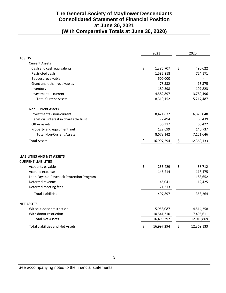#### **The General Society of Mayflower Descendants Consolidated Statement of Financial Position at June 30, 2021 (With Comparative Totals at June 30, 2020)**

|                                                                                                                                                                                                   | 2021 |                                        | 2020 |                                        |
|---------------------------------------------------------------------------------------------------------------------------------------------------------------------------------------------------|------|----------------------------------------|------|----------------------------------------|
| <b>ASSETS</b>                                                                                                                                                                                     |      |                                        |      |                                        |
| <b>Current Assets</b>                                                                                                                                                                             |      |                                        |      |                                        |
| Cash and cash equivalents                                                                                                                                                                         | \$   | 1,385,707                              | \$   | 490,622                                |
| Restricted cash                                                                                                                                                                                   |      | 1,582,818                              |      | 724,171                                |
| Bequest receivable                                                                                                                                                                                |      | 500,000                                |      |                                        |
| Grant and other receivables                                                                                                                                                                       |      | 78,332                                 |      | 15,375                                 |
| Inventory                                                                                                                                                                                         |      | 189,398                                |      | 197,823                                |
| Investments - current                                                                                                                                                                             |      | 4,582,897                              |      | 3,789,496                              |
| <b>Total Current Assets</b>                                                                                                                                                                       |      | 8,319,152                              |      | 5,217,487                              |
| Non-Current Assets                                                                                                                                                                                |      |                                        |      |                                        |
| Investments - non-current                                                                                                                                                                         |      | 8,421,632                              |      | 6,879,048                              |
| Beneficial interest in charitable trust                                                                                                                                                           |      | 77,494                                 |      | 65,439                                 |
| Other assets                                                                                                                                                                                      |      | 56,317                                 |      | 66,422                                 |
| Property and equipment, net                                                                                                                                                                       |      | 122,699                                |      | 140,737                                |
| <b>Total Non-Current Assets</b>                                                                                                                                                                   |      | 8,678,142                              |      | 7,151,646                              |
| <b>Total Assets</b>                                                                                                                                                                               | \$   | 16,997,294                             | \$   | 12,369,133                             |
| <b>LIABILITIES AND NET ASSETS</b><br><b>CURRENT LIABILITIES:</b><br>Accounts payable<br>Accrued expenses<br>Loan Payable-Paycheck Protection Program<br>Deferred revenue<br>Deferred meeting fees | \$   | 235,429<br>146,214<br>45,041<br>71,213 | \$   | 38,712<br>118,475<br>188,652<br>12,425 |
| <b>Total Liabilities</b>                                                                                                                                                                          |      | 497,897                                |      | 358,264                                |
| <b>NET ASSETS:</b>                                                                                                                                                                                |      |                                        |      |                                        |
| Without donor restriction                                                                                                                                                                         |      | 5,958,087                              |      | 4,514,258                              |
| With donor restriction                                                                                                                                                                            |      | 10,541,310                             |      | 7,496,611                              |
| <b>Total Net Assets</b>                                                                                                                                                                           |      | 16,499,397                             |      | 12,010,869                             |
| <b>Total Liabilities and Net Assets</b>                                                                                                                                                           | \$   | 16,997,294                             | \$   | 12,369,133                             |
| 3<br>See accompanying notes to the financial statements                                                                                                                                           |      |                                        |      |                                        |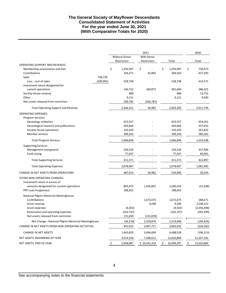#### **The General Society of Mayflower Descendants Consolidated Statement of Activities For the year ended June 30, 2021 (With Comparative Totals for 2020)**

|                                                     |                 | 2021         |                  | 2020                     |
|-----------------------------------------------------|-----------------|--------------|------------------|--------------------------|
|                                                     | Without Donor   | With Donor   |                  |                          |
|                                                     | Restriction     | Restriction  | Total            | Total                    |
| <b>OPERATING SUPPORT AND REVENUE:</b>               |                 |              |                  |                          |
| Membership assessments and fees                     | \$<br>1,293,997 | \$           | \$<br>1,293,997  | \$<br>750,473            |
| Contributions                                       | 326,271         | 42,892       | 369,163          | 437,293                  |
| <b>Sales</b><br>738,729                             |                 |              |                  |                          |
| Less: cost of sales<br>(209, 991)                   | 528,738         |              | 528,738          | 414,571                  |
| Investment return designated for                    |                 |              |                  |                          |
| current operations                                  | 140,732         | 260,872      | 401,604          | 386,625                  |
| Society House revenue                               | 680             |              | 680              | 13,752                   |
| Other                                               | 9,121           |              | 9,121            | 9,030                    |
| Net assets released from restriction                | 266,782         | (266, 782)   |                  |                          |
| <b>Total Operating Support and Revenue</b>          | 2,566,321       | 36,982       | 2,603,303        | 2,011,744                |
| <b>OPERATING EXPENSES:</b>                          |                 |              |                  |                          |
| Program Services:                                   |                 |              |                  |                          |
| Genealogy validation                                | 653,557         |              | 653,557          | 654,561                  |
| Genealogical research and publications              | 303,666         |              | 303,666          | 257,653                  |
| Society House operations                            | 310,320         |              | 310,320          | 261,822                  |
| Member services                                     | 399,293         |              | 399,293          | 385,562                  |
| <b>Total Program Services</b>                       | 1,666,836       |              | 1,666,836        | 1,559,598                |
| <b>Supporting Services:</b>                         |                 |              |                  |                          |
| Management and general                              | 334,534         |              | 334,534          | 337,996                  |
| Fund raising                                        | 77,037          |              | 77,037           | 83,901                   |
| <b>Total Supporting Services</b>                    | 411,571         |              | 411,571          | 421,897                  |
| <b>Total Operating Expenses</b>                     | 2,078,407       |              | 2,078,407        | 1,981,495                |
| CHANGE IN NET ASSETS FROM OPERATIONS                | 487,914         | 36,982       | 524,896          | 30,249                   |
| OTHER NON-OPERATING CHANGES:                        |                 |              |                  |                          |
| Investment return in excess of                      |                 |              |                  |                          |
| amounts designated for current operations           | 803,473         | 1,456,841    | 2,260,314        | (31, 638)                |
| PPP Loan Forgiveness                                | 188,652         |              | 188,652          |                          |
| National Pilgrim Memorial Meetinghouse              |                 |              |                  |                          |
| Contributions                                       |                 | 1,672,675    | 1,672,675        | 188,571                  |
| Grant revenue                                       |                 | 9,240        | 9,240            | 2,238,212                |
| Grant expenses                                      | (4,502)         |              | (4,502)          | (2,356,498)              |
| Restoration and operating expenses                  | (162, 747)      |              | (162, 747)       | (265, 209)               |
| Net assets released from restriction                | 131,039         | (131, 039)   | -                | $\overline{\phantom{a}}$ |
| Net Change - National Pilgrim Memorial Meetinghouse | (36, 210)       | 1,550,876    | 1,514,666        | (194, 924)               |
| CHANGE IN NET ASSETS FROM NON-OPERATING ACTIVITIES  | 955,915         | 3,007,717    | 3,963,632        | (226, 562)               |
| <b>CHANGE IN NET ASSETS</b>                         | 1,443,829       | 3,044,699    | 4,488,528        | (196, 313)               |
| NET ASSETS, BEGINNING OF YEAR                       | 4,514,258       | 7,496,611    | 12,010,869       | 12,207,182               |
| NET ASSETS, END OF YEAR                             | \$<br>5,958,087 | \$10,541,310 | \$<br>16,499,397 | \$<br>12,010,869         |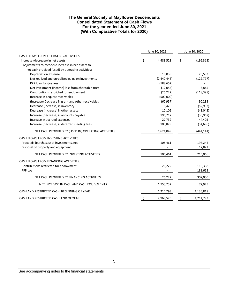#### **The General Society of Mayflower Descendants Consolidated Statement of Cash Flows For the year ended June 30, 2021 (With Comparative Totals for 2020)**

|                                                     |    | June 30, 2021 | June 30, 2020    |
|-----------------------------------------------------|----|---------------|------------------|
| CASH FLOWS FROM OPERATING ACTIVITIES:               |    |               |                  |
| Increase (decrease) in net assets                   | Ś. | 4,488,528     | \$<br>(196, 313) |
| Adjustments to reconcile increase in net assets to  |    |               |                  |
| net cash provided (used) by operating activities:   |    |               |                  |
| Depreciation expense                                |    | 18,038        | 20,583           |
| Net realized and unrealized gains on investments    |    | (2,442,446)   | (122, 797)       |
| PPP loan forgiveness                                |    | (188, 652)    |                  |
| Net investment (income) loss from charitable trust  |    | (12,055)      | 3,845            |
| Contributions restricted for endowment              |    | (26, 222)     | (118, 398)       |
| Increase in bequest receivables                     |    | (500,000)     |                  |
| (Increase) Decrease in grant and other receivables  |    | (62, 957)     | 90,233           |
| Decrease (Increase) in inventory                    |    | 8,425         | (52, 993)        |
| Decrease (Increase) in other assets                 |    | 10,105        | (41, 043)        |
| Increase (Decrease) in accounts payable             |    | 196,717       | (36, 967)        |
| Increase in accrued expenses                        |    | 27,739        | 44,405           |
| Increase (Decrease) in deferred meeting fees        |    | 103,829       | (34, 696)        |
| NET CASH PROVIDED BY (USED IN) OPERATING ACTIVITIES |    | 1,621,049     | (444, 141)       |
| CASH FLOWS FROM INVESTING ACTIVITIES:               |    |               |                  |
| Proceeds (purchases) of investments, net            |    | 106,461       | 197,244          |
| Disposal of property and equipment                  |    |               | 17,822           |
| NET CASH PROVIDED BY INVESTING ACTIVITIES           |    | 106,461       | 215,066          |
| CASH FLOWS FROM FINANCING ACTIVITIES:               |    |               |                  |
| Contributions restricted for endowment              |    | 26,222        | 118,398          |
| PPP Loan                                            |    |               | 188,652          |
| NET CASH PROVIDED BY FINANCING ACTIVITIES           |    | 26,222        | 307,050          |
| NET INCREASE IN CASH AND CASH EQUIVALENTS           |    | 1,753,732     | 77,975           |
| CASH AND RESTRICTED CASH, BEGINNING OF YEAR         |    | 1,214,793     | 1,136,818        |
| CASH AND RESTRICTED CASH, END OF YEAR               | \$ | 2,968,525     | \$<br>1,214,793  |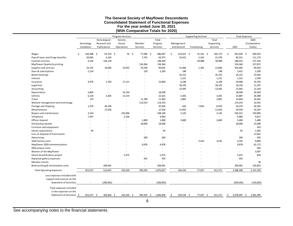#### **The General Society of Mayflower Descendants Consolidated Statement of Functional Expenses For the year ended June 30, 2021 (With Comparative Totals for 2020)**

|                                   |                                |                          |                          | Program Services         |                              |                          | <b>Supporting Services</b> |                          |                          | <b>Total Expenses</b>    |    |                             |                        |
|-----------------------------------|--------------------------------|--------------------------|--------------------------|--------------------------|------------------------------|--------------------------|----------------------------|--------------------------|--------------------------|--------------------------|----|-----------------------------|------------------------|
|                                   |                                |                          | Genealogical             | Society                  |                              | Total                    |                            |                          |                          | Total                    |    |                             | 2020                   |
|                                   |                                | Genealogy                | Research and             | House                    | Member                       | Program                  |                            | Management               |                          | Supporting               |    |                             | (Comparative           |
|                                   |                                | Validation               | Publications             | Operations               | Services                     | Services                 |                            | and General              | Fundraising              | Services                 |    | 2021                        | Totals)                |
|                                   |                                |                          |                          |                          |                              |                          |                            |                          |                          |                          |    |                             |                        |
| Wages                             |                                | \$<br>544,388 \$         | $65,319$ \$              | 50 <sub>5</sub>          | 77,090 \$                    | 686,847                  | Ŝ.                         | 223,012 \$               | $22,161$ \$              | 245,173                  | \$ | 932,020 \$                  | 930,923                |
| Payroll taxes and fringe benefits |                                | 50,065                   | 6,163                    |                          | 7,745                        | 63,973                   |                            | 19,415                   | 2,163                    | 21,578                   |    | 85,551                      | 111,174                |
| Contract services                 |                                | 4,316                    | 144,128                  |                          | $\qquad \qquad \blacksquare$ | 148,444                  |                            |                          | 39,988                   | 39,988                   |    | 188,432                     | 157,335                |
| Mayflower Quarterly printing      |                                |                          | $\sim$                   | $\sim$                   | 134,364                      | 134,364                  |                            | ÷,                       | $\sim$                   | $\overline{a}$           |    | 134,364                     | 127,872                |
| Supplies and services             |                                | 25,191                   | 19,046                   | 22,855                   | 23,550                       | 90,642                   |                            | 12,484                   | 1,356                    | 13,840                   |    | 104,482                     | 94,565                 |
| Dues & subscriptions              |                                | 2,154                    | ٠                        |                          | 129                          | 2,283                    |                            | 148                      | $\overline{\phantom{a}}$ | 148                      |    | 2,431                       | 2,290                  |
| Board meetings                    |                                | $\overline{\phantom{a}}$ |                          |                          |                              | $\overline{\phantom{a}}$ |                            | 16,152                   |                          | 16,152                   |    | 16,152                      | 23,942                 |
| Interest                          |                                | $\overline{\phantom{a}}$ | $\overline{a}$           |                          |                              | $\overline{\phantom{a}}$ |                            | 1,231                    |                          | 1,231                    |    | 1,231                       | 2,594                  |
| Insurance                         |                                | 4,976                    | 1,763                    | 17,121                   | $\overline{a}$               | 23,860                   |                            | 6,108                    |                          | 6,108                    |    | 29,968                      | 33,702                 |
| Legal fees                        |                                | $\sim$                   | $\sim$                   | $\sim$                   | $\overline{\phantom{a}}$     | $\overline{\phantom{a}}$ |                            | 18,193                   | $\overline{\phantom{a}}$ | 18,193                   |    | 18,193                      | 11,597                 |
| Accounting                        |                                | $\overline{\phantom{a}}$ | ٠                        | $\overline{\phantom{a}}$ | ٠                            | $\overline{\phantom{a}}$ |                            | 13,445                   |                          | 13,445                   |    | 13,445                      | 12,103                 |
| Depreciation                      |                                | 3,894                    | $\overline{\phantom{a}}$ | 14,144                   | $\overline{\phantom{a}}$     | 18,038                   |                            | $\overline{\phantom{a}}$ |                          | $\overline{\phantom{a}}$ |    | 18,038                      | 20,583                 |
| Utilities                         |                                | 6,224                    | 3,265                    | 13,133                   | $\overline{\phantom{a}}$     | 22,622                   |                            | 3,265                    |                          | 3,265                    |    | 25,887                      | 26,488                 |
| Travel                            |                                | 174                      | $\overline{\phantom{a}}$ | $\sim$                   | 11,789                       | 11,963                   |                            | 2,881                    | $\overline{\phantom{a}}$ | 2,881                    |    | 14,844                      | 16,941                 |
| Website management and technology |                                | $\sim$                   | $\overline{\phantom{a}}$ | $\overline{\phantom{a}}$ | 114,253                      | 114,253                  |                            | $\blacksquare$           |                          | $\overline{\phantom{a}}$ |    | 114,253                     | 52,952                 |
| Postage and shipping              |                                | 1,470                    | 46,356                   |                          | $\overline{\phantom{a}}$     | 47,826                   |                            | 624                      | 7,826                    | 8,450                    |    | 56,276                      | 44,302                 |
| Miscellaneous                     |                                | $\sim$                   | 17,626                   | $\overline{\phantom{a}}$ | $\overline{a}$               | 17,626                   |                            | 11,833                   | $\overline{\phantom{a}}$ | 11,833                   |    | 29,459                      | 25,267                 |
| Repairs and maintenance           |                                | 3,163                    | $\sim$                   | 235,006                  | $\overline{a}$               | 238,169                  |                            | 2,143                    |                          | 2,143                    |    | 240,312                     | 159,085                |
| Telephone                         |                                | 7,447                    | $\overline{\phantom{a}}$ | 2,536                    | $\overline{\phantom{a}}$     | 9,983                    |                            | $\overline{a}$           |                          | $\overline{\phantom{a}}$ |    | 9,983                       | 9,817                  |
| Officer stipend                   |                                |                          | ٠                        | $\overline{\phantom{a}}$ | 1,800                        | 1,800                    |                            | 3,600                    |                          | 3,600                    |    | 5,400                       | 5,400                  |
| Scholarship awards                |                                |                          |                          |                          | 18,000                       | 18,000                   |                            |                          |                          | $\overline{\phantom{a}}$ |    | 18,000                      | 15,000                 |
| Furniture and equipment           |                                |                          |                          |                          | $\overline{a}$               | $\sim$                   |                            |                          |                          |                          |    | $\mathcal{L}_{\mathcal{A}}$ | 425                    |
| Library acquisitions              |                                | 95                       |                          |                          | $\overline{a}$               | 95                       |                            |                          |                          |                          |    | 95                          | 1,092                  |
| Loss on disposal of fixed assets  |                                |                          |                          |                          | $\overline{\phantom{a}}$     |                          |                            |                          |                          | $\overline{\phantom{a}}$ |    | $\overline{\phantom{a}}$    | 17,822                 |
| Advertising                       |                                |                          |                          |                          | 260                          | 260                      |                            |                          |                          | $\overline{\phantom{a}}$ |    | 260                         | 635                    |
| 1620 Society costs                |                                |                          |                          |                          | $\overline{a}$               | $\overline{\phantom{a}}$ |                            |                          | 3,543                    | 3,543                    |    | 3,543                       | 9,889                  |
| Mayflower 2020 commemoration      |                                |                          |                          |                          | 9,878                        | 9,878                    |                            |                          |                          | $\overline{\phantom{a}}$ |    | 9,878                       | 62,172                 |
| DNA project costs                 |                                |                          |                          |                          | ٠                            |                          |                            |                          |                          |                          |    | $\overline{\phantom{a}}$    | 945                    |
| Women of the Mayflower            |                                |                          |                          |                          |                              |                          |                            |                          |                          |                          |    | $\overline{\phantom{a}}$    | 3,697                  |
| House beautification project      |                                |                          |                          | 5,475                    | $\overline{a}$               | 5,475                    |                            |                          |                          |                          |    | 5,475                       | 850                    |
| Haywood gallery expenses          |                                |                          |                          | $\overline{a}$           | 435                          | 435                      |                            |                          |                          |                          |    | 435                         | $\sim$                 |
| Member events                     |                                |                          | $\overline{a}$           |                          | $\frac{1}{2}$                | $\overline{\phantom{a}}$ |                            |                          |                          |                          |    | $\overline{\phantom{a}}$    | 36                     |
| Book printing & merchandise costs |                                |                          | 209,991                  |                          | $\frac{1}{2}$                | 209,991                  |                            |                          |                          | $\overline{\phantom{a}}$ |    | 209,991                     | 159,855                |
| <b>Total Operating Expenses</b>   |                                | 653,557                  | 513,657                  | 310,320                  | 399,293                      | 1,876,827                |                            | 334,534                  | 77,037                   | 411,571                  |    | 2,288,398                   | 2,141,350              |
|                                   | Less expenses included with    |                          |                          |                          |                              |                          |                            |                          |                          |                          |    |                             |                        |
|                                   | support and revenue on the     |                          |                          |                          |                              |                          |                            |                          |                          |                          |    |                             |                        |
|                                   | <b>Statement of Activities</b> | $\sim$                   | (209, 991)               |                          |                              | (209, 991)               |                            |                          |                          |                          |    | (209, 991)                  | (159, 855)             |
|                                   |                                |                          |                          |                          |                              |                          |                            |                          |                          |                          |    |                             |                        |
|                                   | Total expenses included        |                          |                          |                          |                              |                          |                            |                          |                          |                          |    |                             |                        |
|                                   | in the expenses on the         |                          |                          |                          |                              |                          |                            |                          |                          |                          |    |                             |                        |
|                                   | Statement of Activities \$     | 653,557 \$               | $303,666$ \$             | $310,320$ \$             | $399,293$ \$                 | 1,666,836                | S                          | 334,534 \$               | 77,037 \$                | 411,571                  | \$ |                             | 2,078,407 \$ 1,981,495 |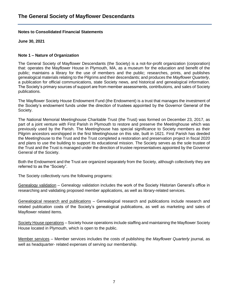#### **Notes to Consolidated Financial Statements**

**June 30, 2021**

#### **Note 1 – Nature of Organization**

The General Society of Mayflower Descendants (the Society) is a not-for-profit organization (corporation) that: operates the Mayflower House in Plymouth, MA, as a museum for the education and benefit of the public; maintains a library for the use of members and the public; researches, prints, and publishes genealogical materials relating to the Pilgrims and their descendants; and produces the *Mayflower Quarterly*, a publication for official communications, state Society news, and historical and genealogical information. The Society's primary sources of support are from member assessments, contributions, and sales of Society publications.

The Mayflower Society House Endowment Fund (the Endowment) is a trust that manages the investment of the Society's endowment funds under the direction of trustees appointed by the Governor General of the Society.

The National Memorial Meetinghouse Charitable Trust (the Trust) was formed on December 23, 2017, as part of a joint venture with First Parish in Plymouth to restore and preserve the Meetinghouse which was previously used by the Parish. The Meetinghouse has special significance to Society members as their Pilgrim ancestors worshipped in the first Meetinghouse on this site, built in 1621. First Parish has deeded the Meetinghouse to the Trust and the Trust completed a restoration and preservation project in fiscal 2020 and plans to use the building to support its educational mission. The Society serves as the sole trustee of the Trust and the Trust is managed under the direction of trustee representatives appointed by the Governor General of the Society.

Both the Endowment and the Trust are organized separately from the Society, although collectively they are referred to as the "Society".

The Society collectively runs the following programs:

Genealogy validation – Genealogy validation includes the work of the Society Historian General's office in researching and validating proposed member applications, as well as library-related services.

Genealogical research and publications – Genealogical research and publications include research and related publication costs of the Society's genealogical publications, as well as marketing and sales of Mayflower related items.

Society House operations – Society house operations include staffing and maintaining the Mayflower Society House located in Plymouth, which is open to the public.

Member services – Member services includes the costs of publishing the *Mayflower Quarterly* journal, as well as headquarter- related expenses of serving our membership.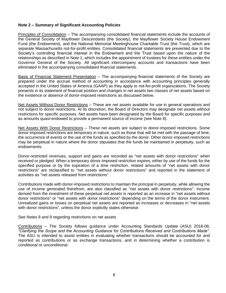#### **Note 2 – Summary of Significant Accounting Policies**

Principles of Consolidation – The accompanying consolidated financial statements include the accounts of the General Society of Mayflower Descendants (the Society), the Mayflower Society House Endowment Fund (the Endowment), and the National Memorial Meetinghouse Charitable Trust (the Trust), which are separate Massachusetts not-for-profit entities. Consolidated financial statements are presented due to the Society's controlling financial interest in the Endowment and the Trust based upon the nature of the relationships as described in Note 1, which includes the appointment of trustees for these entities under the Governor General of the Society. All significant intercompany accounts and transactions have been eliminated in the accompanying consolidated financial statements.

Basis of Financial Statement Presentation – The accompanying financial statements of the Society are prepared under the accrual method of accounting in accordance with accounting principles generally accepted in the United States of America (GAAP) as they apply to not-for-profit organizations. The Society presents in its statement of financial position and changes in net assets two classes of net assets based on the existence or absence of donor-imposed restrictions as discussed below.

Net Assets Without Donor Restrictions – These are net assets available for use in general operations and not subject to donor restrictions. At its discretion, the Board of Directors may designate net assets without restrictions for specific purposes. Net assets have been designated by the Board for specific purposes and as amounts quasi-endowed to provide a permanent source of income (see Note 8).

Net Assets With Donor Restrictions – These net assets are subject to donor-imposed restrictions. Some donor-imposed restrictions are temporary in nature, such as those that will be met with the passage of time, the occurrence of events or the use of the funds as specified by the donor. Other donor-imposed restrictions may be perpetual in nature where the donor stipulates that the funds be maintained in perpetuity, such as endowments.

Donor-restricted revenues, support and gains are recorded as "net assets with donor restrictions" when received or pledged. When a temporary donor-imposed restriction expires, either by use of the funds for the specified purpose or by the expiration of a time restriction, related amounts of "net assets with donor restrictions" are reclassified to "net assets without donor restrictions" and reported in the statement of activities as "net assets released from restrictions".

Contributions made with donor-imposed restrictions to maintain the principal in perpetuity, while allowing the use of income generated therefrom, are also classified as "net assets with donor restrictions". Income derived from the investment of these perpetual net assets is reported as an increase in "net assets without donor restrictions" or "net assets with donor restrictions" depending on the terms of the donor instrument. Unrealized gains or losses on perpetual net assets are reported as increases or decreases in "net assets with donor restrictions", unless the donor explicitly states otherwise.

See Notes 8 and 9 regarding restrictions on net assets

Contributions – The Society follows guidance under Accounting Standards Update (ASU) 2018-08, *"Clarifying the Scope and the Accounting Guidance for Contributions Received and Contributions Made".*  The ASU is intended to assist entities in evaluating whether transactions should be accounted for and reported as contributions or as exchange transactions, and in determining whether a contribution is conditional or unconditional.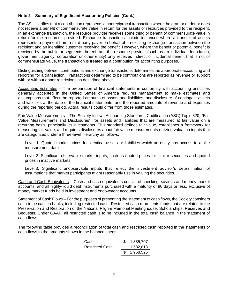#### **Note 2 – Summary of Significant Accounting Policies (Cont.)**

The ASU clarifies that a contribution represents a nonreciprocal transaction where the grantor or donor does not receive a benefit of commensurate value in return for the assets or resources provided to the recipient. In an exchange transaction, the resource provider receives some thing or benefit of commensurate value in return for the resources provided. Exchange transactions include instances where a transfer of assets represents a payment from a third-party payer on behalf of an existing exchange transaction between the recipient and an identified customer receiving the benefit. However, where the benefit or potential benefit is received by the public or segments thereof, and the resource provider (such as an individual, foundation, government agency, corporation or other entity) only receives indirect or incidental benefit that is not of commensurate value, the transaction is treated as a contribution for accounting purposes.

Distinguishing between contributions and exchange transactions determines the appropriate accounting and reporting for a transaction. Transactions determined to be contributions are reported as revenue or support with or without donor restrictions as described above.

Accounting Estimates – The preparation of financial statements in conformity with accounting principles generally accepted in the United States of America requires management to make estimates and assumptions that affect the reported amounts of assets and liabilities, and disclosure of contingent assets and liabilities at the date of the financial statements, and the reported amounts of revenue and expenses during the reporting period. Actual results could differ from those estimates.

Fair Value Measurements – The Society follows Accounting Standards Codification (ASC) Topic 820, "Fair Value Measurements and Disclosures", for assets and liabilities that are measured at fair value on a recurring basis, principally its investments. This standard defines fair value, establishes a framework for measuring fair value, and requires disclosures about fair value measurements utilizing valuation inputs that are categorized under a three-level hierarchy as follows:

Level 1: Quoted market prices for identical assets or liabilities which an entity has access to at the measurement date.

Level 2: Significant observable market inputs, such as quoted prices for similar securities and quoted prices in inactive markets.

Level 3: Significant unobservable inputs that reflect the investment advisor's determination of assumptions that market participants might reasonably use in valuing the securities.

Cash and Cash Equivalents – Cash and cash equivalents consist of checking, savings and money market accounts, and all highly-liquid debt instruments purchased with a maturity of 90 days or less, exclusive of money market funds held in investment and endowment accounts.

Statement of Cash Flows – For the purposes of presenting the statement of cash flows, the Society considers cash to be cash in banks, including restricted cash. Restricted cash represents funds that are related to the Preservation and Restoration of the National Pilgrim Memorial Meetinghouse, Scholarships, Reserves and Bequests. Under GAAP, all restricted cash is to be included in the total cash balance in the statement of cash flows.

The following table provides a reconciliation of total cash and restricted cash reported in the statements of cash flows to the amounts shown in the balance sheets:

| Cash.                  | 1,385,707   |
|------------------------|-------------|
| <b>Restricted Cash</b> | 1,582,818   |
|                        | \$2,968,525 |
|                        |             |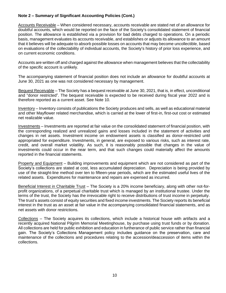#### **Note 2 – Summary of Significant Accounting Policies (Cont.)**

Accounts Receivable - When considered necessary, accounts receivable are stated net of an allowance for doubtful accounts, which would be reported on the face of the Society's consolidated statement of financial position. The allowance is established via a provision for bad debts charged to operations. On a periodic basis, management evaluates its accounts receivable, and establishes or adjusts its allowance to an amount that it believes will be adequate to absorb possible losses on accounts that may become uncollectible, based on evaluations of the collectability of individual accounts, the Society's history of prior loss experience, and on current economic conditions.

Accounts are written off and charged against the allowance when management believes that the collectability of the specific account is unlikely.

The accompanying statement of financial position does not include an allowance for doubtful accounts at June 30, 2021 as one was not considered necessary by management.

Bequest Receivable – The Society has a bequest receivable at June 30, 2021, that is, in effect, unconditional and "donor restricted". The bequest receivable is expected to be received during fiscal year 2022 and is therefore reported as a current asset. See Note 10.

Inventory – Inventory consists of publications the Society produces and sells, as well as educational material and other Mayflower related merchandise, which is carried at the lower of first-in, first-out cost or estimated net realizable value.

Investments – Investments are reported at fair value on the consolidated statement of financial position, with the corresponding realized and unrealized gains and losses included in the statement of activities and changes in net assets. Investment income on endowment assets is classified as donor-restricted until appropriated for expenditure. Investments, in general, are exposed to various risks, such as interest rate, credit, and overall market volatility. As such, it is reasonably possible that changes in the value of investments could occur in the near term, and that such changes could materially affect the amounts reported in the financial statements.

Property and Equipment – Building improvements and equipment which are not considered as part of the Society's collections are stated at cost, less accumulated depreciation. Depreciation is being provided by use of the straight-line method over ten to fifteen-year periods, which are the estimated useful lives of the related assets. Expenditures for maintenance and repairs are expensed as incurred.

Beneficial Interest in Charitable Trust – The Society is a 20% income beneficiary, along with other not-forprofit organizations, of a perpetual charitable trust which is managed by an institutional trustee. Under the terms of the trust, the Society has the irrevocable right to receive distributions of trust income in perpetuity. The trust's assets consist of equity securities and fixed income investments. The Society reports its beneficial interest in the trust as an asset at fair value in the accompanying consolidated financial statements, and as net assets with donor restrictions.

Collections – The Society acquires its collections, which include a historical house with artifacts and a recently acquired National Pilgrim Memorial Meetinghouse, by purchase using trust funds or by donation. All collections are held for public exhibition and education in furtherance of public service rather than financial gain. The Society's Collections Management policy includes guidance on the preservation, care and maintenance of the collections and procedures relating to the accession/deaccession of items within the collections.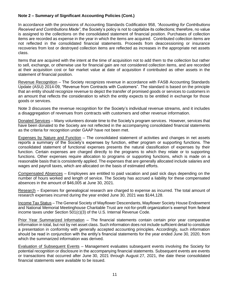#### **Note 2 – Summary of Significant Accounting Policies (Cont.)**

In accordance with the provisions of Accounting Standards Codification 958, *"Accounting for Contributions Received and Contributions Made"*, the Society's policy is not to capitalize its collections; therefore, no value is assigned to the collections on the consolidated statement of financial position. Purchases of collection items are recorded as expense in the year in which the items are acquired. Contributed collection items are not reflected in the consolidated financial statements. Proceeds from deaccessioning or insurance recoveries from lost or destroyed collection items are reflected as increases in the appropriate net assets class.

Items that are acquired with the intent at the time of acquisition not to add them to the collection but rather to sell, exchange, or otherwise use for financial gain are not considered collection items, and are recorded at their acquisition cost or fair market value at date of acquisition if contributed as other assets in the statement of financial position.

Revenue Recognition – The Society recognizes revenue in accordance with FASB Accounting Standards Update (ASU) 2014-09, "Revenue from Contracts with Customers". The standard is based on the principle that an entity should recognize revenue to depict the transfer of promised goods or services to customers in an amount that reflects the consideration to which the entity expects to be entitled in exchange for those goods or services.

Note 3 discusses the revenue recognition for the Society's individual revenue streams, and it includes a disaggregation of revenues from contracts with customers and other revenue information.

Donated Services – Many volunteers donate time to the Society's program services. However, services that have been donated to the Society are not reflected in the accompanying consolidated financial statements as the criteria for recognition under GAAP have not been met.

Expenses by Nature and Function – The consolidated statement of activities and changes in net assets reports a summary of the Society's expenses by function, either program or supporting functions. The consolidated statement of functional expenses presents the natural classification of expenses by their function. Certain expenses are charged directly to the programs to which they relate or to supporting functions. Other expenses require allocation to programs or supporting functions, which is made on a reasonable basis that is consistently applied. The expenses that are generally allocated include salaries and wages and payroll taxes, which are allocated on the basis of estimated efforts.

Compensated Absences – Employees are entitled to paid vacation and paid sick days depending on the number of hours worked and length of service. The Society has accrued a liability for these compensated absences in the amount of \$46,005 at June 30, 2021.

Research – Expenses for genealogical research are charged to expense as incurred. The total amount of research expenses incurred during the year ended June 30, 2021 was \$144,128.

Income Tax Status – The General Society of Mayflower Descendants, Mayflower Society House Endowment and National Memorial Meetinghouse Charitable Trust are not-for-profit organization's exempt from federal income taxes under Section 501(c)(3) of the U.S. Internal Revenue Code.

Prior Year Summarized Information – The financial statements contain certain prior year comparative information in total, but not by net asset class. Such information does not include sufficient detail to constitute a presentation in conformity with generally accepted accounting principles. Accordingly, such information should be read in conjunction with the entity's financial statements for the year ended June 30, 2020, from which the summarized information was derived.

Evaluation of Subsequent Events – Management evaluates subsequent events involving the Society for potential recognition or disclosure in the accompanying financial statements. Subsequent events are events or transactions that occurred after June 30, 2021 through August 27, 2021, the date these consolidated financial statements were available to be issued.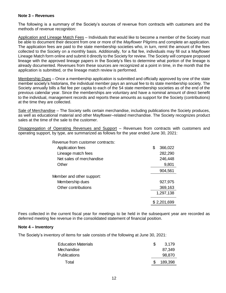#### **Note 3 – Revenues**

The following is a summary of the Society's sources of revenue from contracts with customers and the methods of revenue recognition:

Application and Lineage Match Fees – Individuals that would like to become a member of the Society must be able to document their descent from one or more of the *Mayflower* Pilgrims and complete an application. The application fees are paid to the state membership societies who, in turn, remit the amount of the fees collected to the Society on a monthly basis. Additionally, for a flat fee, individuals may fill out a Mayflower Lineage Match form online and submit it directly to the Society for review. The Society will compare proposed lineage with the approved lineage papers in the Society's files to determine what portion of the lineage is already documented. Revenues from these sources are recognized at a point in time, in the month that the application is submitted, or the lineage match review is performed.

Membership Dues – Once a membership application is submitted and officially approved by one of the state member society's historians, the individual member pays an annual fee to its state membership society. The Society annually bills a flat fee per capita to each of the 54 state membership societies as of the end of the previous calendar year. Since the memberships are voluntary and have a nominal amount of direct benefit to the individual, management records and reports these amounts as support for the Society (contributions) at the time they are collected.

Sale of Merchandise – The Society sells certain merchandise, including publications the Society produces, as well as educational material and other Mayflower–related merchandise. The Society recognizes product sales at the time of the sale to the customer.

Disaggregation of Operating Revenues and Support - Revenues from contracts with customers and operating support, by type, are summarized as follows for the year ended June 30, 2021:

| Revenue from customer contracts: |   |             |
|----------------------------------|---|-------------|
| Application fees                 | S | 366,022     |
| Lineage match fees               |   | 282,290     |
| Net sales of merchandise         |   | 246,448     |
| Other                            |   | 9,801       |
|                                  |   | 904,561     |
| Member and other support:        |   |             |
| Membership dues                  |   | 927,975     |
| Other contributions              |   | 369,163     |
|                                  |   | 1,297,138   |
|                                  |   | \$2,201,699 |

Fees collected in the current fiscal year for meetings to be held in the subsequent year are recorded as deferred meeting fee revenue in the consolidated statement of financial position.

#### **Note 4 – Inventory**

The Society's inventory of items for sale consists of the following at June 30, 2021:

| <b>Education Materials</b> | 3.179   |
|----------------------------|---------|
| Mechandise                 | 87,349  |
| <b>Publications</b>        | 98,870  |
| Total                      | 189,398 |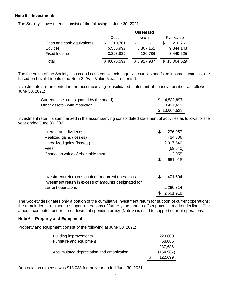#### **Note 5 – Investments**

The Society's investments consist of the following at June 30, 2021:

|                           |             | Unrealized                     |            |
|---------------------------|-------------|--------------------------------|------------|
|                           | Cost        | Gain                           | Fair Value |
| Cash and cash equivalents | 210,761     | \$<br>$\overline{\phantom{a}}$ | 210,761    |
| Equities                  | 5,536,992   | 3,807,151                      | 9,344,143  |
| Fixed Income              | 3,328,839   | 120,786                        | 3,449,625  |
| Total                     | \$9,076,592 | \$3,927,937                    | 13,004,529 |
|                           |             |                                |            |

The fair value of the Society's cash and cash equivalents, equity securities and fixed income securities, are based on Level 1 inputs (see Note 2, "Fair Value Measurements").

Investments are presented in the accompanying consolidated statement of financial position as follows at June 30, 2021:

| Current assets (designated by the board) | \$ 4,582,897 |
|------------------------------------------|--------------|
| Other assets - with restriction          | 8,421,632    |
|                                          | \$13,004,529 |

Investment return is summarized in the accompanying consolidated statement of activities as follows for the year ended June 30, 2021:

| Interest and dividends                                                                                       | \$<br>276,957 |
|--------------------------------------------------------------------------------------------------------------|---------------|
| Realized gains (losses)                                                                                      | 424,806       |
| Unrealized gains (losses)                                                                                    | 2,017,640     |
| Fees                                                                                                         | (69, 540)     |
| Change in value of charitable trust                                                                          | 12,055        |
|                                                                                                              | 2,661,918     |
|                                                                                                              |               |
| Investment return designated for current operations<br>Investment return in excess of amounts designated for | \$<br>401,604 |
| current operations                                                                                           | 2,260,314     |
|                                                                                                              | 2,661,918     |

The Society designates only a portion of the cumulative investment return for support of current operations; the remainder is retained to support operations of future years and to offset potential market declines. The amount computed under the endowment spending policy (Note 8) is used to support current operations.

#### **Note 6 – Property and Equipment**

Property and equipment consist of the following at June 30, 2021:

| <b>Building improvements</b>              | 229,600   |
|-------------------------------------------|-----------|
| Furniture and equipment                   | 58,086    |
|                                           | 287,686   |
| Accumulated depreciation and amortization | (164,987) |
|                                           | 122,699   |

Depreciation expense was \$18,038 for the year ended June 30, 2021.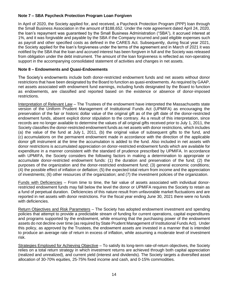#### **Note 7 – SBA Paycheck Protection Program Loan Forgiven**

In April of 2020, the Society applied for, and received, a Paycheck Protection Program (PPP) loan through the Small Business Association in the amount of \$188,652. Under the note agreement dated April 24, 2020, the loan's repayment was guaranteed by the Small Business Administration ("SBA"), it accrued interest at 1%, and it was forgivable and payable by the SBA if the Company incurred and paid eligible expenses such as payroll and other specified costs as defined in the CARES Act. Subsequently, during fiscal year 2021, the Society applied for the loan's forgiveness under the terms of the agreement and in March of 2021 it was notified by the SBA that the loan and accrued interest has been forgiven in full and the Society was released from obligation under the debt instrument. The amount of the loan forgiveness is reflected as non-operating support in the accompanying consolidated statement of activities and changes in net assets.

#### **Note 8 – Endowments and Quasi-Endowments**

The Society's endowments include both donor-restricted endowment funds and net assets without donor restrictions that have been designated by the Board to function as quasi-endowments. As required by GAAP, net assets associated with endowment fund earnings, including funds designated by the Board to function as endowments, are classified and reported based on the existence or absence of donor-imposed restrictions.

Interpretation of Relevant Law – The Trustees of the endowment have interpreted the Massachusetts state version of the Uniform Prudent Management of Institutional Funds Act (UPMIFA) as encouraging the preservation of the fair or historic dollar value of the original gift as of the gift date of the donor-restricted endowment funds, absent explicit donor stipulation to the contrary. As a result of this interpretation, since records are no longer available to determine the values of all original gifts received prior to July 1, 2011, the Society classifies the donor-restricted endowment funds as net assets with donor restrictions, which includes (a) the value of the fund at July 1, 2011, (b) the original value of subsequent gifts to the fund, and (c) accumulations on the permanent endowment made in accordance with the direction of the applicable donor gift instrument at the time the accumulation is added to the fund. Also included in net assets with donor restrictions is accumulated appreciation on donor-restricted endowment funds which are available for expenditure in a manner consistent with the standard of prudence prescribed by UPMIFA. In accordance with UPMIFA, the Society considers the following factors in making a determination to appropriate or accumulate donor-restricted endowment funds: (1) the duration and preservation of the fund; (2) the purposes of the organization and the donor-restricted endowment fund; (3) general economic conditions; (4) the possible effect of inflation or deflation; (5) the expected total return from income and the appreciation of investments; (6) other resources of the organization; and (7) the investment policies of the organization.

Funds with Deficiencies – From time to time, the fair value of assets associated with individual donorrestricted endowment funds may fall below the level the donor or UPMIFA requires the Society to retain as a fund of perpetual duration. Deficiencies of this nature result from unfavorable market fluctuations and are reported in net assets with donor restrictions. For the fiscal year ending June 30, 2021 there were no funds with deficiencies.

Return Objectives and Risk Parameters – The Society has adopted endowment investment and spending policies that attempt to provide a predictable stream of funding for current operations, capital expenditures and programs supported by the endowment, while ensuring that the purchasing power of the endowment assets do not decline over time (as required by State Prudent Management of Institutional Funds Act). Under this policy, as approved by the Trustees, the endowment assets are invested in a manner that is intended to produce an average rate of return in excess of inflation, while assuming a moderate level of investment risk.

Strategies Employed for Achieving Objective – To satisfy its long-term rate-of-return objectives, the Society relies on a total return strategy in which investment returns are achieved through both capital appreciation (realized and unrealized), and current yield (interest and dividends). The Society targets a diversified asset allocation of 30-70% equities, 25-75% fixed income and cash, and 0-15% commodities.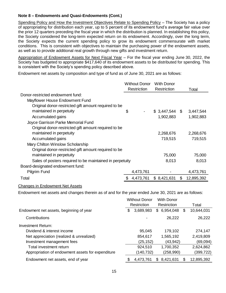#### **Note 8 – Endowments and Quasi-Endowments (Cont.)**

Spending Policy and How the Investment Objectives Relate to Spending Policy – The Society has a policy of appropriating for distribution each year, up to 5 percent of its endowment fund's average fair value over the prior 12 quarters preceding the fiscal year in which the distribution is planned. In establishing this policy, the Society considered the long-term expected return on its endowment. Accordingly, over the long term, the Society expects the current spending policy to grow its endowment commensurate with market conditions. This is consistent with objectives to maintain the purchasing power of the endowment assets, as well as to provide additional real growth through new gifts and investment return.

Appropriation of Endowment Assets for Next Fiscal Year – For the fiscal year ending June 30, 2022, the Society has budgeted to appropriate \$417,640 of its endowment assets to be distributed for spending. This is consistent with the Society's spending policy described above.

Endowment net assets by composition and type of fund as of June 30, 2021 are as follows:

|                                                          | <b>Without Donor</b> | <b>With Donor</b> |                  |
|----------------------------------------------------------|----------------------|-------------------|------------------|
|                                                          | Restriction          | Restriction       | Total            |
| Donor-restricted endowment fund:                         |                      |                   |                  |
| Mayflower House Endowment Fund                           |                      |                   |                  |
| Original donor-restricted gift amount required to be     |                      |                   |                  |
| maintained in perpetuity                                 | \$<br>۰              | $$3,447,544$ \;   | 3,447,544        |
| Accumulated gains                                        |                      | 1,902,883         | 1,902,883        |
| Joyce Garrison Parke Memorial Fund                       |                      |                   |                  |
| Original donor-restricted gift amount required to be     |                      |                   |                  |
| maintained in perpetuity                                 |                      | 2,268,676         | 2,268,676        |
| Accumulated gains                                        |                      | 719,515           | 719,515          |
| Mary Chilton Winslow Scholarship                         |                      |                   |                  |
| Original donor-restricted gift amount required to be     |                      |                   |                  |
| maintained in perpetuity                                 |                      | 75,000            | 75,000           |
| Sales of posters required to be maintained in perpetuity |                      | 8,013             | 8,013            |
| Board-designated endowment fund:                         |                      |                   |                  |
| <b>Pilgrim Fund</b>                                      | 4,473,761            |                   | 4,473,761        |
| Total                                                    | 4,473,761            | \$8,421,631       | \$<br>12,895,392 |

#### Changes in Endowment Net Assets

Endowment net assets and changes therein as of and for the year ended June 30, 2021 are as follows:

|                                                   | <b>Without Donor</b> |            | <b>With Donor</b> |            |    |            |
|---------------------------------------------------|----------------------|------------|-------------------|------------|----|------------|
|                                                   | Restriction          |            | Restriction       |            |    | Total      |
| Endowment net assets, beginning of year           | \$                   | 3,689,983  | \$                | 6,954,048  | \$ | 10,644,031 |
| Contributions                                     |                      |            |                   | 26,222     |    | 26,222     |
| <b>Investment Return:</b>                         |                      |            |                   |            |    |            |
| Dividend & interest income                        |                      | 95,045     |                   | 179,102    |    | 274,147    |
| Net appreciation (realized & unrealized)          |                      | 854,617    |                   | 1,565,192  |    | 2,419,809  |
| Investment management fees                        |                      | (25, 152)  |                   | (43, 942)  |    | (69,094)   |
| Total investment return                           |                      | 924,510    |                   | 1,700,352  |    | 2,624,862  |
| Appropriation of endowment assets for expenditure |                      | (140, 732) |                   | (258, 990) |    | (399,722)  |
| Endowment net assets, end of year                 | S                    | 4,473,761  | S                 | 8,421,631  | S  | 12,895,392 |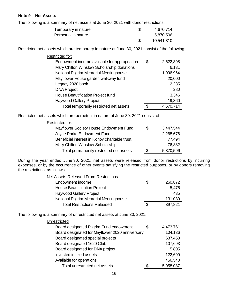#### **Note 9 – Net Assets**

The following is a summary of net assets at June 30, 2021 with donor restrictions:

| Temporary in nature | 4,670,714  |
|---------------------|------------|
| Perpetual in nature | 5,870,596  |
|                     | 10,541,310 |

Restricted net assets which are temporary in nature at June 30, 2021 consist of the following:

| \$<br>Temporary in nature                                                                                                                                          | 4,670,714       |
|--------------------------------------------------------------------------------------------------------------------------------------------------------------------|-----------------|
| Perpetual in nature                                                                                                                                                | 5,870,596       |
| \$                                                                                                                                                                 | 10,541,310      |
| ssets which are temporary in nature at June 30, 2021 consist of the followir                                                                                       |                 |
| Restricted for:                                                                                                                                                    |                 |
| Endowment income available for appropriation                                                                                                                       | \$<br>2,622,398 |
| Mary Chilton Winslow Scholarship donations                                                                                                                         | 6,131           |
| National Pilgrim Memorial Meetinghouse                                                                                                                             | 1,996,964       |
| Mayflower House garden walkway fund                                                                                                                                | 20,000          |
| Legacy 2020 book                                                                                                                                                   | 2,235           |
| <b>DNA Project</b>                                                                                                                                                 | 280             |
| House Beautification Project fund                                                                                                                                  | 3,346           |
| <b>Haywood Gallery Project</b>                                                                                                                                     | 19,360          |
| Total temporarily restricted net assets                                                                                                                            | \$<br>4,670,714 |
| ssets which are perpetual in nature at June 30, 2021 consist of:                                                                                                   |                 |
| Restricted for:                                                                                                                                                    |                 |
| Mayflower Society House Endowment Fund                                                                                                                             | \$<br>3,447,544 |
| Joyce Parke Endowment Fund                                                                                                                                         | 2,268,676       |
| Beneficial interest in Konov charitable trust                                                                                                                      | 77,494          |
| Mary Chilton Winslow Scholarship                                                                                                                                   | 76,882          |
| Total permanently restricted net assets                                                                                                                            | \$<br>5,870,596 |
| r ended June 30, 2021, net assets were released from donor restrictio<br>the occurrence of other events satisfying the restricted purposes, or by d<br>as follows: |                 |
| Net Assets Released From Restrictions                                                                                                                              |                 |
| Endowment income                                                                                                                                                   | \$<br>260,872   |
| <b>House Beautification Project</b>                                                                                                                                | 5,475           |
| Haywood Gallery Project                                                                                                                                            | 435             |
| National Pilgrim Memorial Meetinghouse                                                                                                                             | 131,039         |
| <b>Total Restrictions Released</b>                                                                                                                                 | \$<br>397,821   |
| a summary of unrestricted net assets at June 30, 2021:                                                                                                             |                 |
| Unrestricted                                                                                                                                                       |                 |
| Board designated Pilgrim Fund endowment                                                                                                                            | \$<br>4,473,761 |
| Board designated for Mayflower 2020 anniversary                                                                                                                    | 104,136         |
| Board designated special projects                                                                                                                                  | 687,453         |
| Board designated 1620 Club                                                                                                                                         | 107,693         |
| Board designated for DNA project                                                                                                                                   | 5,805           |
| Invested in fixed assets                                                                                                                                           | 122,699         |
| Available for operations                                                                                                                                           | 456,540         |
| Total unrestricted net assets                                                                                                                                      | \$<br>5,958,087 |
| 16                                                                                                                                                                 |                 |

Restricted net assets which are perpetual in nature at June 30, 2021 consist of:

| Restricted for:                               |   |           |
|-----------------------------------------------|---|-----------|
| Mayflower Society House Endowment Fund        | S | 3,447,544 |
| Joyce Parke Endowment Fund                    |   | 2,268,676 |
| Beneficial interest in Konov charitable trust |   | 77,494    |
| Mary Chilton Winslow Scholarship              |   | 76,882    |
| Total permanently restricted net assets       | S | 5,870,596 |

During the year ended June 30, 2021, net assets were released from donor restrictions by incurring expenses, or by the occurrence of other events satisfying the restricted purposes, or by donors removing the restrictions, as follows:

| <b>Net Assets Released From Restrictions</b> |    |         |
|----------------------------------------------|----|---------|
| Endowment income                             | \$ | 260,872 |
| <b>House Beautification Project</b>          |    | 5,475   |
| <b>Haywood Gallery Project</b>               |    | 435     |
| National Pilgrim Memorial Meetinghouse       |    | 131,039 |
| <b>Total Restrictions Released</b>           | S  | 397,821 |

The following is a summary of unrestricted net assets at June 30, 2021:

| Unrestricted                                    |    |           |
|-------------------------------------------------|----|-----------|
| Board designated Pilgrim Fund endowment         | S  | 4,473,761 |
| Board designated for Mayflower 2020 anniversary |    | 104,136   |
| Board designated special projects               |    | 687,453   |
| Board designated 1620 Club                      |    | 107,693   |
| Board designated for DNA project                |    | 5,805     |
| Invested in fixed assets                        |    | 122,699   |
| Available for operations                        |    | 456,540   |
| Total unrestricted net assets                   | \$ | 5,958,087 |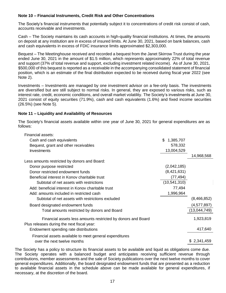#### **Note 10 – Financial Instruments, Credit Risk and Other Concentrations**

The Society's financial instruments that potentially subject it to concentrations of credit risk consist of cash, accounts receivable and investments.

Cash – The Society maintains its cash accounts in high-quality financial institutions. At times, the amounts on deposit at any institution are in excess of insured limits. At June 30, 2021, based on bank balances, cash and cash equivalents in excess of FDIC insurance limits approximated \$2,303,000.

Bequest – The Meetinghouse received and recorded a bequest from the Janet Skirrow Trust during the year ended June 30, 2021 in the amount of \$1.5 million, which represents approximately 22% of total revenue and support (37% of total revenue and support, excluding investment related income). As of June 30, 2021, \$500,000 of this bequest is reported as a receivable in the accompanying consolidated statement of financial position, which is an estimate of the final distribution expected to be received during fiscal year 2022 (see Note 2).

Investments – Investments are managed by one investment advisor on a fee-only basis. The investments are diversified but are still subject to normal risks. In general, they are exposed to various risks, such as interest rate, credit, economic conditions, and overall market volatility. The Society's investments at June 30, 2021 consist of equity securities (71.9%), cash and cash equivalents (1.6%) and fixed income securities (26.5%) (see Note 5).

#### **Note 11 – Liquidity and Availability of Resources**

The Society's financial assets available within one year of June 30, 2021 for general expenditures are as follows:

| Financial assets:                                                                                          |                  |               |
|------------------------------------------------------------------------------------------------------------|------------------|---------------|
| Cash and cash equivalents                                                                                  | 1,385,707<br>\$. |               |
| Bequest, grant and other receivables                                                                       | 578,332          |               |
| Investments                                                                                                | 13,004,529       |               |
|                                                                                                            |                  | 14,968,568    |
| Less amounts restricted by donors and Board:                                                               |                  |               |
| Donor purpose restricted                                                                                   | (2,042,185)      |               |
| Donor restricted endowment funds                                                                           | (8,421,631)      |               |
| Beneficial interest in Konov charitable trust                                                              | (77, 494)        |               |
| Subtotal of net assets with restrictions                                                                   | (10, 541, 310)   |               |
| Add: beneficial interest in Konov charitable trust                                                         | 77,494           |               |
| Add: amounts included in restricted cash                                                                   | 1,996,964        |               |
| Subtotal of net assets with restrictions excluded                                                          |                  | (8,466,852)   |
| Board designated endowment funds                                                                           |                  | (4, 577, 897) |
| Total amounts restricted by donors and Board                                                               |                  | (13,044,749)  |
| Financial assets less amounts restricted by donors and Board<br>Plus releases during the next fiscal year: |                  | 1,923,819     |
| Endowment spending rate distributions                                                                      |                  | 417,640       |
| Financial assets available to meet general expenditures                                                    |                  |               |
| over the next twelve months                                                                                |                  | \$2,341,459   |

The Society has a policy to structure its financial assets to be available and liquid as obligations come due. The Society operates with a balanced budget and anticipates receiving sufficient revenue through contributions, member assessments and the sale of Society publications over the next twelve months to cover general expenditures. Additionally, the board designated endowment funds that are presented as a reduction to available financial assets in the schedule above can be made available for general expenditures, if necessary, at the discretion of the board.